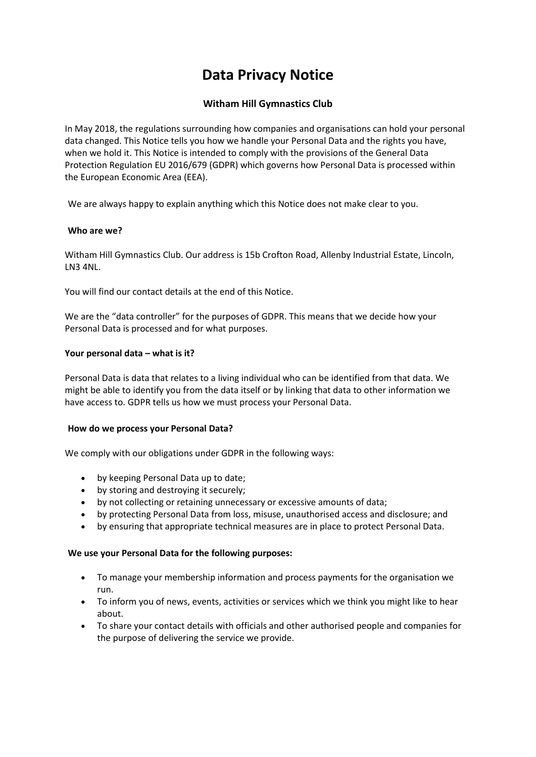# **Data Privacy Notice**

## **Witham Hill Gymnastics Club**

In May 2018, the regulations surrounding how companies and organisations can hold your personal data changed. This Notice tells you how we handle your Personal Data and the rights you have, when we hold it. This Notice is intended to comply with the provisions of the General Data Protection Regulation EU 2016/679 (GDPR) which governs how Personal Data is processed within the European Economic Area (EEA).

We are always happy to explain anything which this Notice does not make clear to you.

## **Who are we?**

Witham Hill Gymnastics Club. Our address is 15b Crofton Road, Allenby Industrial Estate, Lincoln, LN3 4NL.

You will find our contact details at the end of this Notice.

We are the "data controller" for the purposes of GDPR. This means that we decide how your Personal Data is processed and for what purposes.

## **Your personal data – what is it?**

Personal Data is data that relates to a living individual who can be identified from that data. We might be able to identify you from the data itself or by linking that data to other information we have access to. GDPR tells us how we must process your Personal Data.

## **How do we process your Personal Data?**

We comply with our obligations under GDPR in the following ways:

- by keeping Personal Data up to date;
- by storing and destroying it securely;
- by not collecting or retaining unnecessary or excessive amounts of data;
- by protecting Personal Data from loss, misuse, unauthorised access and disclosure; and
- by ensuring that appropriate technical measures are in place to protect Personal Data.

## **We use your Personal Data for the following purposes:**

- To manage your membership information and process payments for the organisation we run.
- To inform you of news, events, activities or services which we think you might like to hear about.
- To share your contact details with officials and other authorised people and companies for the purpose of delivering the service we provide.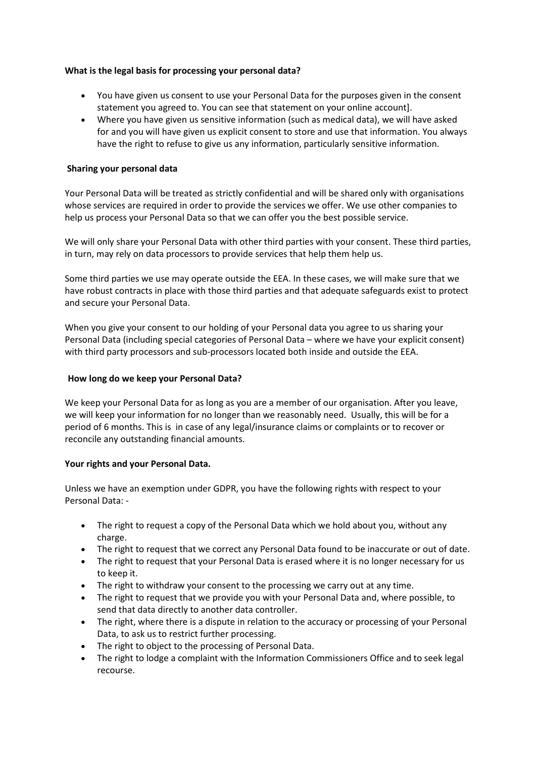## **What is the legal basis for processing your personal data?**

- You have given us consent to use your Personal Data for the purposes given in the consent statement you agreed to. You can see that statement on your online account].
- Where you have given us sensitive information (such as medical data), we will have asked for and you will have given us explicit consent to store and use that information. You always have the right to refuse to give us any information, particularly sensitive information.

## **Sharing your personal data**

Your Personal Data will be treated as strictly confidential and will be shared only with organisations whose services are required in order to provide the services we offer. We use other companies to help us process your Personal Data so that we can offer you the best possible service.

We will only share your Personal Data with other third parties with your consent. These third parties, in turn, may rely on data processors to provide services that help them help us.

Some third parties we use may operate outside the EEA. In these cases, we will make sure that we have robust contracts in place with those third parties and that adequate safeguards exist to protect and secure your Personal Data.

When you give your consent to our holding of your Personal data you agree to us sharing your Personal Data (including special categories of Personal Data – where we have your explicit consent) with third party processors and sub-processors located both inside and outside the EEA.

## **How long do we keep your Personal Data?**

We keep your Personal Data for as long as you are a member of our organisation. After you leave, we will keep your information for no longer than we reasonably need. Usually, this will be for a period of 6 months. This is in case of any legal/insurance claims or complaints or to recover or reconcile any outstanding financial amounts.

## **Your rights and your Personal Data.**

Unless we have an exemption under GDPR, you have the following rights with respect to your Personal Data: -

- The right to request a copy of the Personal Data which we hold about you, without any charge.
- The right to request that we correct any Personal Data found to be inaccurate or out of date.
- The right to request that your Personal Data is erased where it is no longer necessary for us to keep it.
- The right to withdraw your consent to the processing we carry out at any time.
- The right to request that we provide you with your Personal Data and, where possible, to send that data directly to another data controller.
- The right, where there is a dispute in relation to the accuracy or processing of your Personal Data, to ask us to restrict further processing.
- The right to object to the processing of Personal Data.
- The right to lodge a complaint with the Information Commissioners Office and to seek legal recourse.